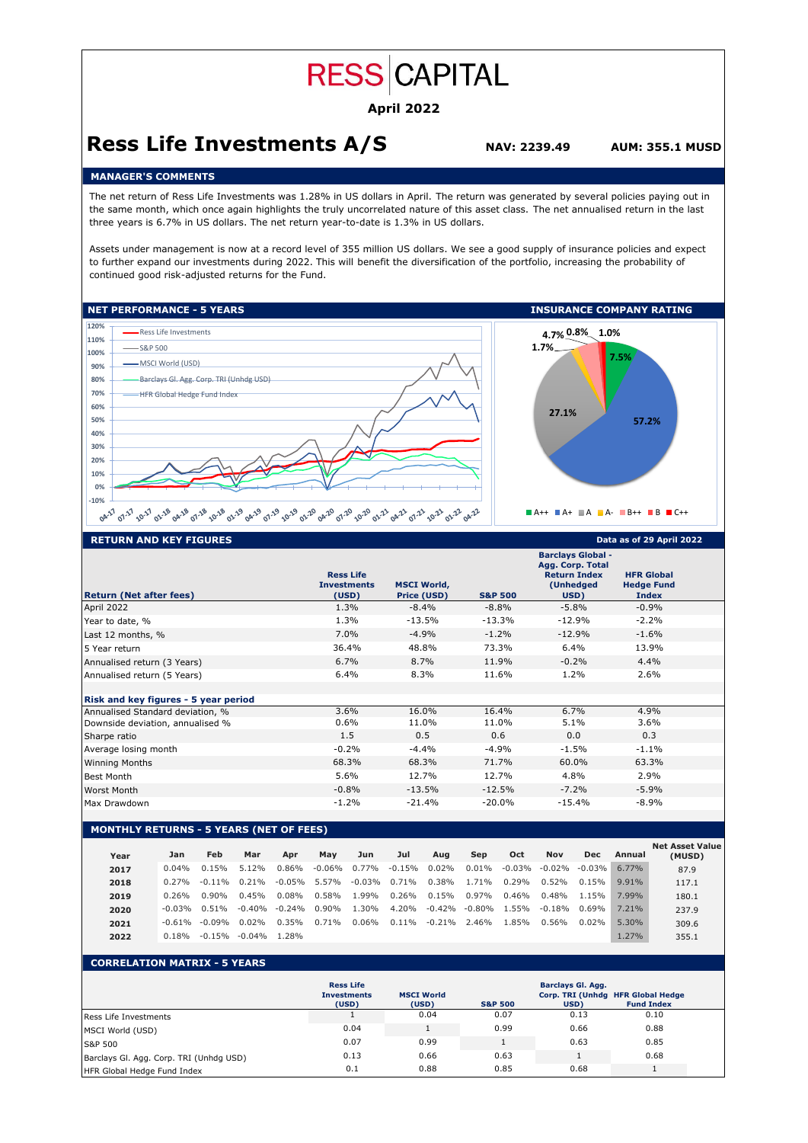# **RESS CAPITAL**

## **April 2022**

# **Ress Life Investments A/S NAV: 2239.49 AUM: 355.1 MUSD**

## **MANAGER'S COMMENTS**

The net return of Ress Life Investments was 1.28% in US dollars in April. The return was generated by several policies paying out in the same month, which once again highlights the truly uncorrelated nature of this asset class. The net annualised return in the last three years is 6.7% in US dollars. The net return year-to-date is 1.3% in US dollars.

Assets under management is now at a record level of 355 million US dollars. We see a good supply of insurance policies and expect to further expand our investments during 2022. This will benefit the diversification of the portfolio, increasing the probability of continued good risk-adjusted returns for the Fund.



| <b>RETURN AND KEY FIGURES</b>        | Data as of 29 April 2022                        |                                   |                    |                                                                                          |                                                        |  |
|--------------------------------------|-------------------------------------------------|-----------------------------------|--------------------|------------------------------------------------------------------------------------------|--------------------------------------------------------|--|
| <b>Return (Net after fees)</b>       | <b>Ress Life</b><br><b>Investments</b><br>(USD) | <b>MSCI World,</b><br>Price (USD) | <b>S&amp;P 500</b> | <b>Barclays Global -</b><br>Agg. Corp. Total<br><b>Return Index</b><br>(Unhedged<br>USD) | <b>HFR Global</b><br><b>Hedge Fund</b><br><b>Index</b> |  |
| April 2022                           | 1.3%                                            | $-8.4\%$                          | $-8.8\%$           | $-5.8%$                                                                                  | $-0.9%$                                                |  |
| Year to date, %                      | 1.3%                                            | $-13.5%$                          | $-13.3%$           | $-12.9%$                                                                                 | $-2.2%$                                                |  |
| Last 12 months, %                    | 7.0%                                            | $-4.9%$                           | $-1.2%$            | $-12.9%$                                                                                 | $-1.6%$                                                |  |
| 5 Year return                        | 36.4%                                           | 48.8%                             | 73.3%              | 6.4%                                                                                     | 13.9%                                                  |  |
| Annualised return (3 Years)          | 6.7%                                            | 8.7%                              | 11.9%              | $-0.2%$                                                                                  | 4.4%                                                   |  |
| Annualised return (5 Years)          | 6.4%                                            | 8.3%                              | 11.6%              | $1.2\%$                                                                                  | 2.6%                                                   |  |
| Risk and key figures - 5 year period |                                                 |                                   |                    |                                                                                          |                                                        |  |
| Annualised Standard deviation, %     | 3.6%                                            | 16.0%                             | 16.4%              | 6.7%                                                                                     | 4.9%                                                   |  |
| Downside deviation, annualised %     | $0.6\%$                                         | 11.0%                             | 11.0%              | 5.1%                                                                                     | 3.6%                                                   |  |
| Sharpe ratio                         | 1.5                                             | 0.5                               | 0.6                | 0.0                                                                                      | 0.3                                                    |  |
| Average losing month                 | $-0.2%$                                         | $-4.4%$                           | $-4.9%$            | $-1.5%$                                                                                  | $-1.1%$                                                |  |
| <b>Winning Months</b>                | 68.3%                                           | 68.3%                             | 71.7%              | 60.0%                                                                                    | 63.3%                                                  |  |
| <b>Best Month</b>                    | 5.6%                                            | 12.7%                             | 12.7%              | 4.8%                                                                                     | 2.9%                                                   |  |
| Worst Month                          | $-0.8%$                                         | $-13.5%$                          | $-12.5%$           | $-7.2%$                                                                                  | $-5.9%$                                                |  |
| Max Drawdown                         | $-1.2%$                                         | $-21.4%$                          | $-20.0\%$          | $-15.4%$                                                                                 | $-8.9%$                                                |  |
|                                      |                                                 |                                   |                    |                                                                                          |                                                        |  |

## **MONTHLY RETURNS - 5 YEARS (NET OF FEES)**

| Year | Jan       | Feb                | Mar       | Apr       | May       | Jun       | Jul      | Aug      | Sep             | Oct    | Nov       | <b>Dec</b> | Annual   | <b>Net Asset Value</b><br>(MUSD) |
|------|-----------|--------------------|-----------|-----------|-----------|-----------|----------|----------|-----------------|--------|-----------|------------|----------|----------------------------------|
| 2017 | $0.04\%$  | 0.15%              | 5.12%     | 0.86%     | $-0.06\%$ | $0.77\%$  | $-0.15%$ | $0.02\%$ | $0.01\%$        | -0.03% | $-0.02\%$ | $-0.03\%$  | $6.77\%$ | 87.9                             |
| 2018 | $0.27\%$  | $-0.11\%$          | $0.21\%$  | $-0.05\%$ | 5.57%     | $-0.03\%$ | 0.71%    | $0.38\%$ | 1.71%           | 0.29%  | 0.52%     | 0.15%      | 9.91%    | 117.1                            |
| 2019 | 0.26%     | 0.90%              | 0.45%     | $0.08\%$  | 0.58%     | 1.99%     | 0.26%    | 0.15%    | $0.97\%$        | 0.46%  | 0.48%     | 1.15%      | 7.99%    | 180.1                            |
| 2020 |           | $-0.03\%$ $0.51\%$ | $-0.40\%$ | $-0.24%$  | $0.90\%$  | 1.30%     | 4.20%    | $-0.42%$ | $-0.80\%$       | 1.55%  | $-0.18%$  | $0.69\%$   | 7.21%    | 237.9                            |
| 2021 | $-0.61\%$ | -0.09%             | 0.02%     | 0.35%     | 0.71%     | $0.06\%$  | $0.11\%$ |          | $-0.21\%$ 2.46% | 1.85%  | 0.56%     | 0.02%      | 5.30%    | 309.6                            |
| 2022 | $0.18\%$  | $-0.15%$           | $-0.04\%$ | 1.28%     |           |           |          |          |                 |        |           |            | 1.27%    | 355.1                            |

## **CORRELATION MATRIX - 5 YEARS**

|                                         | <b>Ress Life</b><br><b>Investments</b><br>(USD) | <b>MSCI World</b><br>(USD) | Barclays Gl. Agg.<br>Corp. TRI (Unhdg HFR Global Hedge<br><b>Fund Index</b><br><b>S&amp;P 500</b><br>USD) |      |      |  |  |  |
|-----------------------------------------|-------------------------------------------------|----------------------------|-----------------------------------------------------------------------------------------------------------|------|------|--|--|--|
| Ress Life Investments                   |                                                 | 0.04                       | 0.07                                                                                                      | 0.13 | 0.10 |  |  |  |
| MSCI World (USD)                        | 0.04                                            |                            | 0.99                                                                                                      | 0.66 | 0.88 |  |  |  |
| S&P 500                                 | 0.07                                            | 0.99                       |                                                                                                           | 0.63 | 0.85 |  |  |  |
| Barclays Gl. Agg. Corp. TRI (Unhdg USD) | 0.13                                            | 0.66                       | 0.63                                                                                                      |      | 0.68 |  |  |  |
| HFR Global Hedge Fund Index             | 0.1                                             | 0.88                       | 0.85                                                                                                      | 0.68 |      |  |  |  |